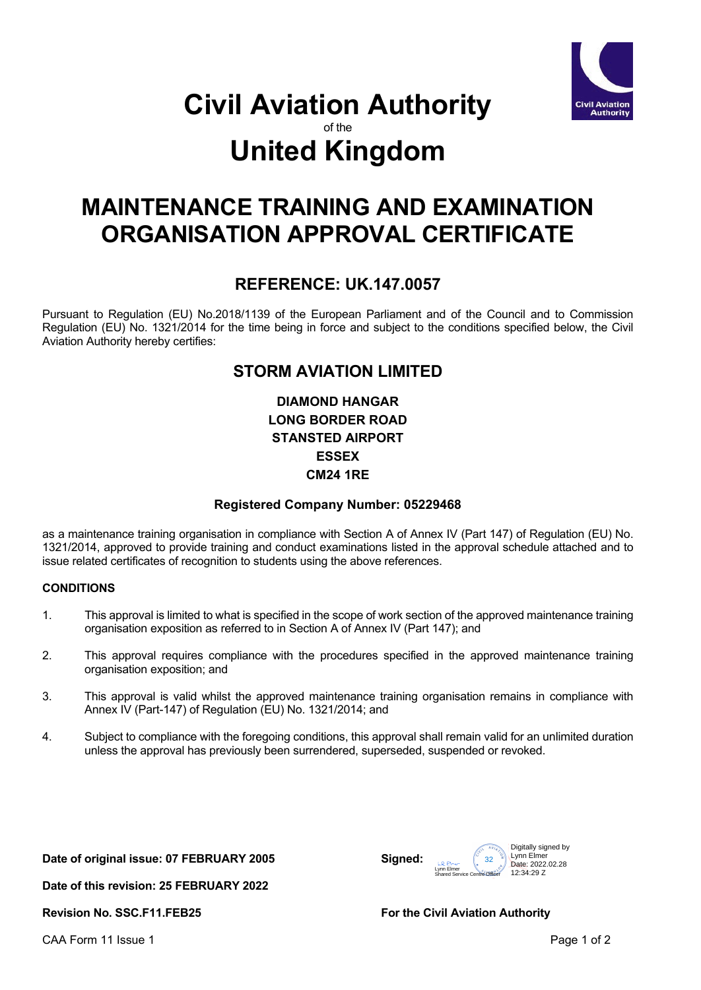

# **Civil Aviation Authority** of the **United Kingdom**

# **MAINTENANCE TRAINING AND EXAMINATION ORGANISATION APPROVAL CERTIFICATE**

## **REFERENCE: UK.147.0057**

Pursuant to Regulation (EU) No.2018/1139 of the European Parliament and of the Council and to Commission Regulation (EU) No. 1321/2014 for the time being in force and subject to the conditions specified below, the Civil Aviation Authority hereby certifies:

## **STORM AVIATION LIMITED**

**DIAMOND HANGAR LONG BORDER ROAD STANSTED AIRPORT ESSEX CM24 1RE**

### **Registered Company Number: 05229468**

as a maintenance training organisation in compliance with Section A of Annex IV (Part 147) of Regulation (EU) No. 1321/2014, approved to provide training and conduct examinations listed in the approval schedule attached and to issue related certificates of recognition to students using the above references.

#### **CONDITIONS**

- 1. This approval is limited to what is specified in the scope of work section of the approved maintenance training organisation exposition as referred to in Section A of Annex IV (Part 147); and
- 2. This approval requires compliance with the procedures specified in the approved maintenance training organisation exposition; and
- 3. This approval is valid whilst the approved maintenance training organisation remains in compliance with Annex IV (Part-147) of Regulation (EU) No. 1321/2014; and
- 4. Subject to compliance with the foregoing conditions, this approval shall remain valid for an unlimited duration unless the approval has previously been surrendered, superseded, suspended or revoked.

**Date of original issue: 07 FEBRUARY 2005 Signed:**

 $\frac{1}{2}$  Lynn Elmer<br>Shared Service Centre Officer 12:3 Digitally signed by<br>
Unn Elmer<br>
Shared Service Centre Officer 2022.02.28<br>
Date: 2022.02.28<br>
Shared Service Centre Officer 202.34:29 Z Lynn Elmer  $12.34.20$  Z

**Date of this revision: 25 FEBRUARY 2022**

**Revision No. SSC.F11.FEB25 For the Civil Aviation Authority** 

CAA Form 11 Issue 1 **Page 1** of 2